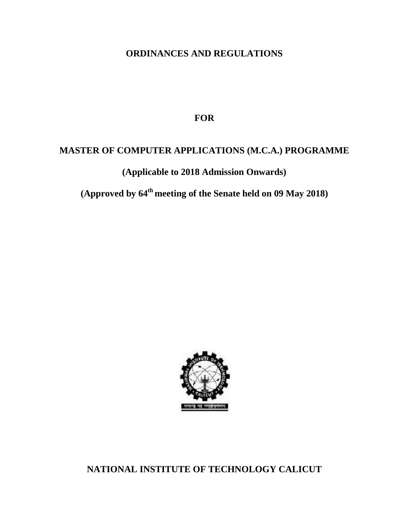# **ORDINANCES AND REGULATIONS**

**FOR**

# **MASTER OF COMPUTER APPLICATIONS (M.C.A.) PROGRAMME**

**(Applicable to 2018 Admission Onwards)**

**(Approved by 64th meeting of the Senate held on 09 May 2018)**



**NATIONAL INSTITUTE OF TECHNOLOGY CALICUT**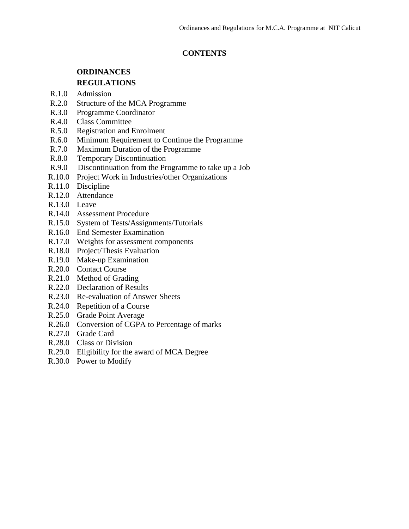### **CONTENTS**

# **ORDINANCES REGULATIONS**

- R.1.0 Admission
- R.2.0 Structure of the MCA Programme
- R.3.0 Programme Coordinator
- R.4.0 Class Committee
- R.5.0 Registration and Enrolment
- R.6.0 Minimum Requirement to Continue the Programme
- R.7.0 Maximum Duration of the Programme
- R.8.0 Temporary Discontinuation
- R.9.0 Discontinuation from the Programme to take up a Job
- R.10.0 Project Work in Industries/other Organizations
- R.11.0 Discipline
- R.12.0 Attendance
- R.13.0 Leave
- R.14.0 Assessment Procedure
- R.15.0 System of Tests/Assignments/Tutorials
- R.16.0 End Semester Examination
- R.17.0 Weights for assessment components
- R.18.0 Project/Thesis Evaluation
- R.19.0 Make-up Examination
- R.20.0 Contact Course
- R.21.0 Method of Grading
- R.22.0 Declaration of Results
- R.23.0 Re-evaluation of Answer Sheets
- R.24.0 Repetition of a Course
- R.25.0 Grade Point Average
- R.26.0 Conversion of CGPA to Percentage of marks
- R.27.0 Grade Card
- R.28.0 Class or Division
- R.29.0 Eligibility for the award of MCA Degree
- R.30.0 Power to Modify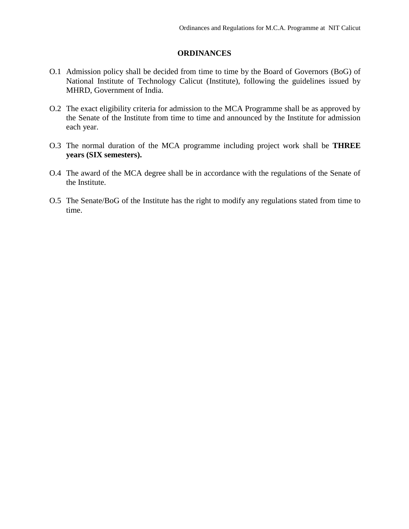#### **ORDINANCES**

- O.1 Admission policy shall be decided from time to time by the Board of Governors (BoG) of National Institute of Technology Calicut (Institute), following the guidelines issued by MHRD, Government of India.
- O.2 The exact eligibility criteria for admission to the MCA Programme shall be as approved by the Senate of the Institute from time to time and announced by the Institute for admission each year.
- O.3 The normal duration of the MCA programme including project work shall be **THREE years (SIX semesters).**
- O.4 The award of the MCA degree shall be in accordance with the regulations of the Senate of the Institute.
- O.5 The Senate/BoG of the Institute has the right to modify any regulations stated from time to time.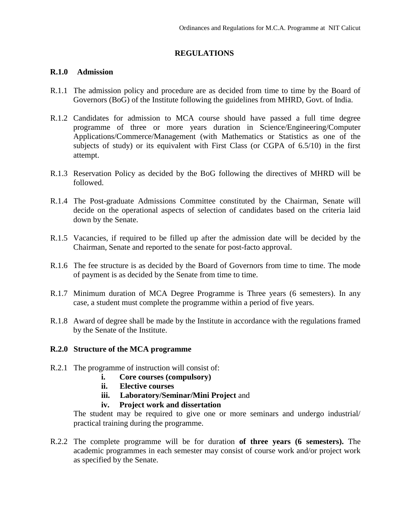### **REGULATIONS**

#### **R.1.0 Admission**

- R.1.1 The admission policy and procedure are as decided from time to time by the Board of Governors (BoG) of the Institute following the guidelines from MHRD, Govt. of India.
- R.1.2 Candidates for admission to MCA course should have passed a full time degree programme of three or more years duration in Science/Engineering/Computer Applications/Commerce/Management (with Mathematics or Statistics as one of the subjects of study) or its equivalent with First Class (or CGPA of 6.5/10) in the first attempt.
- R.1.3 Reservation Policy as decided by the BoG following the directives of MHRD will be followed.
- R.1.4 The Post-graduate Admissions Committee constituted by the Chairman, Senate will decide on the operational aspects of selection of candidates based on the criteria laid down by the Senate.
- R.1.5 Vacancies, if required to be filled up after the admission date will be decided by the Chairman, Senate and reported to the senate for post-facto approval.
- R.1.6 The fee structure is as decided by the Board of Governors from time to time. The mode of payment is as decided by the Senate from time to time.
- R.1.7 Minimum duration of MCA Degree Programme is Three years (6 semesters). In any case, a student must complete the programme within a period of five years.
- R.1.8 Award of degree shall be made by the Institute in accordance with the regulations framed by the Senate of the Institute.

### **R.2.0 Structure of the MCA programme**

- R.2.1 The programme of instruction will consist of:
	- **i. Core courses (compulsory)**
	- **ii. Elective courses**
	- **iii. Laboratory/Seminar/Mini Project** and
	- **iv. Project work and dissertation**

The student may be required to give one or more seminars and undergo industrial/ practical training during the programme.

R.2.2 The complete programme will be for duration **of three years (6 semesters).** The academic programmes in each semester may consist of course work and/or project work as specified by the Senate.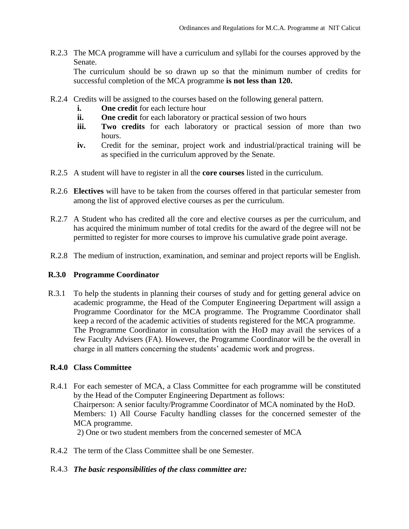R.2.3 The MCA programme will have a curriculum and syllabi for the courses approved by the Senate.

The curriculum should be so drawn up so that the minimum number of credits for successful completion of the MCA programme **is not less than 120.**

- R.2.4 Credits will be assigned to the courses based on the following general pattern.
	- **i. One credit** for each lecture hour
	- **ii. One credit** for each laboratory or practical session of two hours
	- **iii. Two credits** for each laboratory or practical session of more than two hours.
	- **iv.** Credit for the seminar, project work and industrial/practical training will be as specified in the curriculum approved by the Senate.
- R.2.5 A student will have to register in all the **core courses** listed in the curriculum.
- R.2.6 **Electives** will have to be taken from the courses offered in that particular semester from among the list of approved elective courses as per the curriculum.
- R.2.7 A Student who has credited all the core and elective courses as per the curriculum, and has acquired the minimum number of total credits for the award of the degree will not be permitted to register for more courses to improve his cumulative grade point average.
- R.2.8 The medium of instruction, examination, and seminar and project reports will be English.

### **R.3.0 Programme Coordinator**

R.3.1 To help the students in planning their courses of study and for getting general advice on academic programme, the Head of the Computer Engineering Department will assign a Programme Coordinator for the MCA programme. The Programme Coordinator shall keep a record of the academic activities of students registered for the MCA programme. The Programme Coordinator in consultation with the HoD may avail the services of a few Faculty Advisers (FA). However, the Programme Coordinator will be the overall in charge in all matters concerning the students' academic work and progress.

## **R.4.0 Class Committee**

- R.4.1 For each semester of MCA, a Class Committee for each programme will be constituted by the Head of the Computer Engineering Department as follows: Chairperson: A senior faculty/Programme Coordinator of MCA nominated by the HoD. Members: 1) All Course Faculty handling classes for the concerned semester of the MCA programme. 2) One or two student members from the concerned semester of MCA
- R.4.2 The term of the Class Committee shall be one Semester.

### R.4.3 *The basic responsibilities of the class committee are:*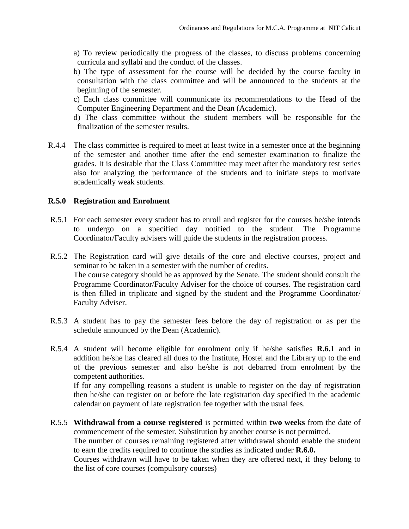- a) To review periodically the progress of the classes, to discuss problems concerning curricula and syllabi and the conduct of the classes.
- b) The type of assessment for the course will be decided by the course faculty in consultation with the class committee and will be announced to the students at the beginning of the semester.
- c) Each class committee will communicate its recommendations to the Head of the Computer Engineering Department and the Dean (Academic).

d) The class committee without the student members will be responsible for the finalization of the semester results.

R.4.4 The class committee is required to meet at least twice in a semester once at the beginning of the semester and another time after the end semester examination to finalize the grades. It is desirable that the Class Committee may meet after the mandatory test series also for analyzing the performance of the students and to initiate steps to motivate academically weak students.

#### **R.5.0 Registration and Enrolment**

- R.5.1 For each semester every student has to enroll and register for the courses he/she intends to undergo on a specified day notified to the student. The Programme Coordinator/Faculty advisers will guide the students in the registration process.
- R.5.2 The Registration card will give details of the core and elective courses, project and seminar to be taken in a semester with the number of credits. The course category should be as approved by the Senate. The student should consult the Programme Coordinator/Faculty Adviser for the choice of courses. The registration card is then filled in triplicate and signed by the student and the Programme Coordinator/ Faculty Adviser.
- R.5.3 A student has to pay the semester fees before the day of registration or as per the schedule announced by the Dean (Academic).
- R.5.4 A student will become eligible for enrolment only if he/she satisfies **R.6.1** and in addition he/she has cleared all dues to the Institute, Hostel and the Library up to the end of the previous semester and also he/she is not debarred from enrolment by the competent authorities.

If for any compelling reasons a student is unable to register on the day of registration then he/she can register on or before the late registration day specified in the academic calendar on payment of late registration fee together with the usual fees.

R.5.5 **Withdrawal from a course registered** is permitted within **two weeks** from the date of commencement of the semester. Substitution by another course is not permitted.

The number of courses remaining registered after withdrawal should enable the student to earn the credits required to continue the studies as indicated under **R.6.0.**

Courses withdrawn will have to be taken when they are offered next, if they belong to the list of core courses (compulsory courses)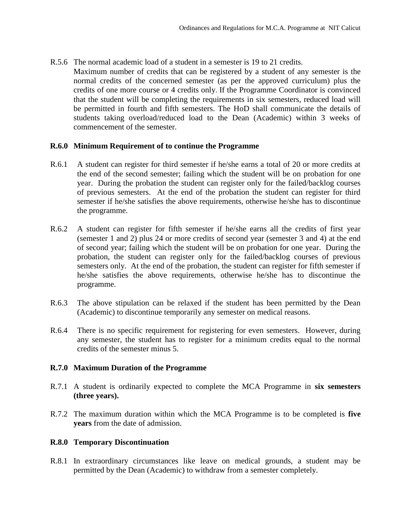R.5.6 The normal academic load of a student in a semester is 19 to 21 credits. Maximum number of credits that can be registered by a student of any semester is the normal credits of the concerned semester (as per the approved curriculum) plus the credits of one more course or 4 credits only. If the Programme Coordinator is convinced that the student will be completing the requirements in six semesters, reduced load will be permitted in fourth and fifth semesters. The HoD shall communicate the details of students taking overload/reduced load to the Dean (Academic) within 3 weeks of commencement of the semester.

#### **R.6.0 Minimum Requirement of to continue the Programme**

- R.6.1 A student can register for third semester if he/she earns a total of 20 or more credits at the end of the second semester; failing which the student will be on probation for one year. During the probation the student can register only for the failed/backlog courses of previous semesters. At the end of the probation the student can register for third semester if he/she satisfies the above requirements, otherwise he/she has to discontinue the programme.
- R.6.2 A student can register for fifth semester if he/she earns all the credits of first year (semester 1 and 2) plus 24 or more credits of second year (semester 3 and 4) at the end of second year; failing which the student will be on probation for one year. During the probation, the student can register only for the failed/backlog courses of previous semesters only. At the end of the probation, the student can register for fifth semester if he/she satisfies the above requirements, otherwise he/she has to discontinue the programme.
- R.6.3 The above stipulation can be relaxed if the student has been permitted by the Dean (Academic) to discontinue temporarily any semester on medical reasons.
- R.6.4 There is no specific requirement for registering for even semesters. However, during any semester, the student has to register for a minimum credits equal to the normal credits of the semester minus 5.

#### **R.7.0 Maximum Duration of the Programme**

- R.7.1 A student is ordinarily expected to complete the MCA Programme in **six semesters (three years).**
- R.7.2 The maximum duration within which the MCA Programme is to be completed is **five years** from the date of admission.

#### **R.8.0 Temporary Discontinuation**

R.8.1 In extraordinary circumstances like leave on medical grounds, a student may be permitted by the Dean (Academic) to withdraw from a semester completely.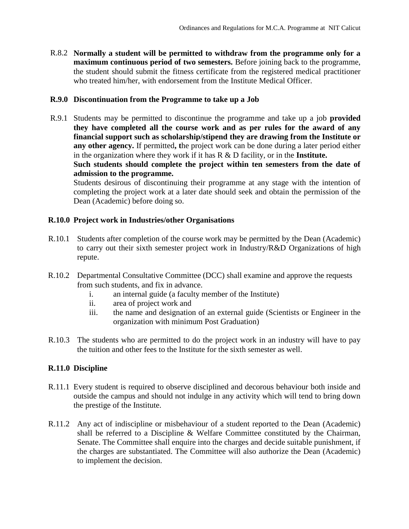R.8.2 **Normally a student will be permitted to withdraw from the programme only for a maximum continuous period of two semesters.** Before joining back to the programme, the student should submit the fitness certificate from the registered medical practitioner who treated him/her, with endorsement from the Institute Medical Officer.

#### **R.9.0 Discontinuation from the Programme to take up a Job**

R.9.1 Students may be permitted to discontinue the programme and take up a job **provided they have completed all the course work and as per rules for the award of any financial support such as scholarship/stipend they are drawing from the Institute or any other agency.** If permitted**, t**he project work can be done during a later period either in the organization where they work if it has R & D facility, or in the **Institute.**

**Such students should complete the project within ten semesters from the date of admission to the programme.**

Students desirous of discontinuing their programme at any stage with the intention of completing the project work at a later date should seek and obtain the permission of the Dean (Academic) before doing so.

#### **R.10.0 Project work in Industries/other Organisations**

- R.10.1 Students after completion of the course work may be permitted by the Dean (Academic) to carry out their sixth semester project work in Industry/R&D Organizations of high repute.
- R.10.2 Departmental Consultative Committee (DCC) shall examine and approve the requests from such students, and fix in advance.
	- i. an internal guide (a faculty member of the Institute)
	- ii. area of project work and
	- iii. the name and designation of an external guide (Scientists or Engineer in the organization with minimum Post Graduation)
- R.10.3 The students who are permitted to do the project work in an industry will have to pay the tuition and other fees to the Institute for the sixth semester as well.

### **R.11.0 Discipline**

- R.11.1 Every student is required to observe disciplined and decorous behaviour both inside and outside the campus and should not indulge in any activity which will tend to bring down the prestige of the Institute.
- R.11.2 Any act of indiscipline or misbehaviour of a student reported to the Dean (Academic) shall be referred to a Discipline & Welfare Committee constituted by the Chairman, Senate. The Committee shall enquire into the charges and decide suitable punishment, if the charges are substantiated. The Committee will also authorize the Dean (Academic) to implement the decision.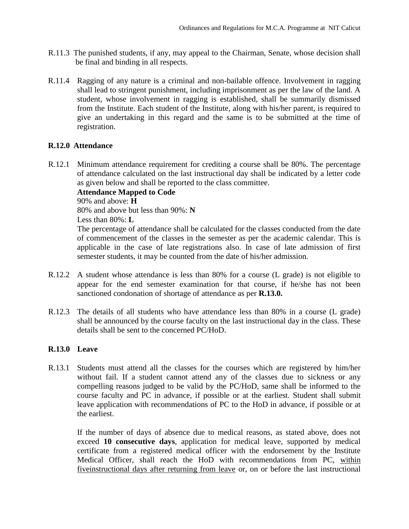- R.11.3 The punished students, if any, may appeal to the Chairman, Senate, whose decision shall be final and binding in all respects.
- R.11.4 Ragging of any nature is a criminal and non-bailable offence. Involvement in ragging shall lead to stringent punishment, including imprisonment as per the law of the land. A student, whose involvement in ragging is established, shall be summarily dismissed from the Institute. Each student of the Institute, along with his/her parent, is required to give an undertaking in this regard and the same is to be submitted at the time of registration.

#### **R.12.0 Attendance**

R.12.1 Minimum attendance requirement for crediting a course shall be 80%. The percentage of attendance calculated on the last instructional day shall be indicated by a letter code as given below and shall be reported to the class committee.

#### **Attendance Mapped to Code**

90% and above: **H**

80% and above but less than 90%: **N**

Less than 80%: **L**

The percentage of attendance shall be calculated for the classes conducted from the date of commencement of the classes in the semester as per the academic calendar. This is applicable in the case of late registrations also. In case of late admission of first semester students, it may be counted from the date of his/her admission.

- R.12.2 A student whose attendance is less than 80% for a course (L grade) is not eligible to appear for the end semester examination for that course, if he/she has not been sanctioned condonation of shortage of attendance as per **R.13.0.**
- R.12.3 The details of all students who have attendance less than 80% in a course (L grade) shall be announced by the course faculty on the last instructional day in the class. These details shall be sent to the concerned PC/HoD.

### **R.13.0 Leave**

R.13.1 Students must attend all the classes for the courses which are registered by him/her without fail. If a student cannot attend any of the classes due to sickness or any compelling reasons judged to be valid by the PC/HoD, same shall be informed to the course faculty and PC in advance, if possible or at the earliest. Student shall submit leave application with recommendations of PC to the HoD in advance, if possible or at the earliest.

If the number of days of absence due to medical reasons, as stated above, does not exceed **10 consecutive days**, application for medical leave, supported by medical certificate from a registered medical officer with the endorsement by the Institute Medical Officer, shall reach the HoD with recommendations from PC, within fiveinstructional days after returning from leave or, on or before the last instructional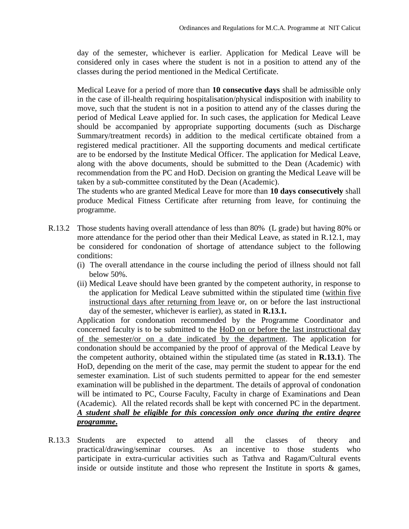day of the semester, whichever is earlier. Application for Medical Leave will be considered only in cases where the student is not in a position to attend any of the classes during the period mentioned in the Medical Certificate.

Medical Leave for a period of more than **10 consecutive days** shall be admissible only in the case of ill-health requiring hospitalisation/physical indisposition with inability to move, such that the student is not in a position to attend any of the classes during the period of Medical Leave applied for. In such cases, the application for Medical Leave should be accompanied by appropriate supporting documents (such as Discharge Summary/treatment records) in addition to the medical certificate obtained from a registered medical practitioner. All the supporting documents and medical certificate are to be endorsed by the Institute Medical Officer. The application for Medical Leave, along with the above documents, should be submitted to the Dean (Academic) with recommendation from the PC and HoD. Decision on granting the Medical Leave will be taken by a sub-committee constituted by the Dean (Academic).

The students who are granted Medical Leave for more than **10 days consecutively** shall produce Medical Fitness Certificate after returning from leave, for continuing the programme.

- R.13.2 Those students having overall attendance of less than 80% (L grade) but having 80% or more attendance for the period other than their Medical Leave, as stated in R.12.1, may be considered for condonation of shortage of attendance subject to the following conditions:
	- (i) The overall attendance in the course including the period of illness should not fall below 50%.
	- (ii) Medical Leave should have been granted by the competent authority, in response to the application for Medical Leave submitted within the stipulated time (within five instructional days after returning from leave or, on or before the last instructional day of the semester, whichever is earlier), as stated in **R.13.1.**

Application for condonation recommended by the Programme Coordinator and concerned faculty is to be submitted to the HoD on or before the last instructional day of the semester/or on a date indicated by the department. The application for condonation should be accompanied by the proof of approval of the Medical Leave by the competent authority, obtained within the stipulated time (as stated in **R.13.1**). The HoD, depending on the merit of the case, may permit the student to appear for the end semester examination. List of such students permitted to appear for the end semester examination will be published in the department. The details of approval of condonation will be intimated to PC, Course Faculty, Faculty in charge of Examinations and Dean (Academic). All the related records shall be kept with concerned PC in the department. *A student shall be eligible for this concession only once during the entire degree programme***.**

R.13.3 Students Students are expected to attend all the classes of theory and practical/drawing/seminar courses. As an incentive to those students who participate in extra-curricular activities such as Tathva and Ragam/Cultural events inside or outside institute and those who represent the Institute in sports & games,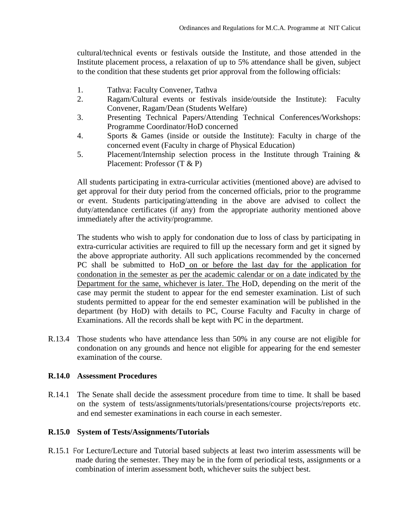cultural/technical events or festivals outside the Institute, and those attended in the Institute placement process, a relaxation of up to 5% attendance shall be given, subject to the condition that these students get prior approval from the following officials:

- 1. Tathva: Faculty Convener, Tathva
- 2. Ragam/Cultural events or festivals inside/outside the Institute): Faculty Convener, Ragam/Dean (Students Welfare)
- 3. Presenting Technical Papers/Attending Technical Conferences/Workshops: Programme Coordinator/HoD concerned
- 4. Sports & Games (inside or outside the Institute): Faculty in charge of the concerned event (Faculty in charge of Physical Education)
- 5. Placement/Internship selection process in the Institute through Training & Placement: Professor (T & P)

All students participating in extra-curricular activities (mentioned above) are advised to get approval for their duty period from the concerned officials, prior to the programme or event. Students participating/attending in the above are advised to collect the duty/attendance certificates (if any) from the appropriate authority mentioned above immediately after the activity/programme.

The students who wish to apply for condonation due to loss of class by participating in extra-curricular activities are required to fill up the necessary form and get it signed by the above appropriate authority. All such applications recommended by the concerned PC shall be submitted to HoD on or before the last day for the application for condonation in the semester as per the academic calendar or on a date indicated by the Department for the same, whichever is later. The HoD, depending on the merit of the case may permit the student to appear for the end semester examination. List of such students permitted to appear for the end semester examination will be published in the department (by HoD) with details to PC, Course Faculty and Faculty in charge of Examinations. All the records shall be kept with PC in the department.

R.13.4 Those students who have attendance less than 50% in any course are not eligible for condonation on any grounds and hence not eligible for appearing for the end semester examination of the course.

### **R.14.0 Assessment Procedures**

R.14.1 The Senate shall decide the assessment procedure from time to time. It shall be based on the system of tests/assignments/tutorials/presentations/course projects/reports etc. and end semester examinations in each course in each semester.

## **R.15.0 System of Tests/Assignments/Tutorials**

R.15.1 For Lecture/Lecture and Tutorial based subjects at least two interim assessments will be made during the semester. They may be in the form of periodical tests, assignments or a combination of interim assessment both, whichever suits the subject best.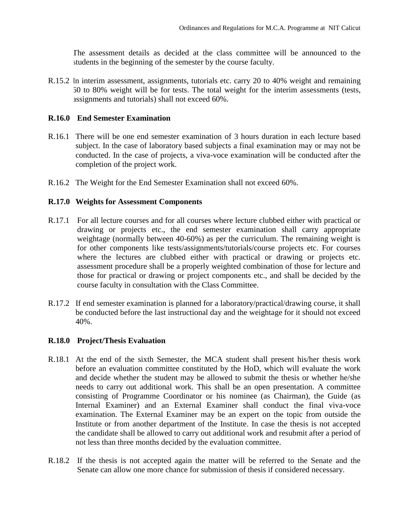The assessment details as decided at the class committee will be announced to the students in the beginning of the semester by the course faculty.

R.15.2 In interim assessment, assignments, tutorials etc. carry 20 to 40% weight and remaining 60 to 80% weight will be for tests. The total weight for the interim assessments (tests, assignments and tutorials) shall not exceed 60%.

#### **R.16.0 End Semester Examination**

- R.16.1 There will be one end semester examination of 3 hours duration in each lecture based subject. In the case of laboratory based subjects a final examination may or may not be conducted. In the case of projects, a viva-voce examination will be conducted after the completion of the project work.
- R.16.2 The Weight for the End Semester Examination shall not exceed 60%.

#### **R.17.0 Weights for Assessment Components**

- R.17.1 For all lecture courses and for all courses where lecture clubbed either with practical or drawing or projects etc., the end semester examination shall carry appropriate weightage (normally between 40-60%) as per the curriculum. The remaining weight is for other components like tests/assignments/tutorials/course projects etc. For courses where the lectures are clubbed either with practical or drawing or projects etc. assessment procedure shall be a properly weighted combination of those for lecture and those for practical or drawing or project components etc., and shall be decided by the course faculty in consultation with the Class Committee.
- R.17.2 If end semester examination is planned for a laboratory/practical/drawing course, it shall be conducted before the last instructional day and the weightage for it should not exceed 40%.

#### **R.18.0 Project/Thesis Evaluation**

- R.18.1 At the end of the sixth Semester, the MCA student shall present his/her thesis work before an evaluation committee constituted by the HoD, which will evaluate the work and decide whether the student may be allowed to submit the thesis or whether he/she needs to carry out additional work. This shall be an open presentation. A committee consisting of Programme Coordinator or his nominee (as Chairman), the Guide (as Internal Examiner) and an External Examiner shall conduct the final viva-voce examination. The External Examiner may be an expert on the topic from outside the Institute or from another department of the Institute. In case the thesis is not accepted the candidate shall be allowed to carry out additional work and resubmit after a period of not less than three months decided by the evaluation committee.
- R.18.2 If the thesis is not accepted again the matter will be referred to the Senate and the Senate can allow one more chance for submission of thesis if considered necessary.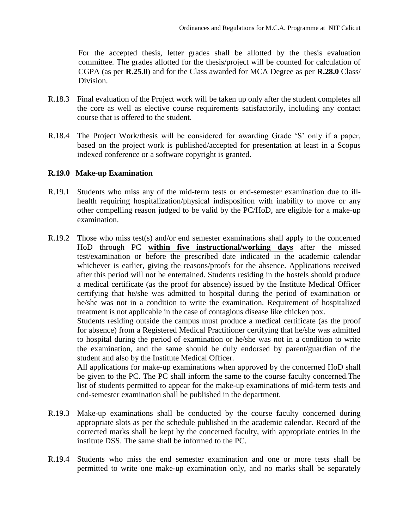For the accepted thesis, letter grades shall be allotted by the thesis evaluation committee. The grades allotted for the thesis/project will be counted for calculation of CGPA (as per **R.25.0**) and for the Class awarded for MCA Degree as per **R.28.0** Class/ Division.

- R.18.3 Final evaluation of the Project work will be taken up only after the student completes all the core as well as elective course requirements satisfactorily, including any contact course that is offered to the student.
- R.18.4 The Project Work/thesis will be considered for awarding Grade 'S' only if a paper, based on the project work is published/accepted for presentation at least in a Scopus indexed conference or a software copyright is granted.

#### **R.19.0 Make-up Examination**

- R.19.1 Students who miss any of the mid-term tests or end-semester examination due to illhealth requiring hospitalization/physical indisposition with inability to move or any other compelling reason judged to be valid by the PC/HoD, are eligible for a make-up examination.
- R.19.2 Those who miss test(s) and/or end semester examinations shall apply to the concerned HoD through PC **within five instructional/working days** after the missed test/examination or before the prescribed date indicated in the academic calendar whichever is earlier, giving the reasons/proofs for the absence. Applications received after this period will not be entertained. Students residing in the hostels should produce a medical certificate (as the proof for absence) issued by the Institute Medical Officer certifying that he/she was admitted to hospital during the period of examination or he/she was not in a condition to write the examination. Requirement of hospitalized treatment is not applicable in the case of contagious disease like chicken pox.

Students residing outside the campus must produce a medical certificate (as the proof for absence) from a Registered Medical Practitioner certifying that he/she was admitted to hospital during the period of examination or he/she was not in a condition to write the examination, and the same should be duly endorsed by parent/guardian of the student and also by the Institute Medical Officer.

All applications for make-up examinations when approved by the concerned HoD shall be given to the PC. The PC shall inform the same to the course faculty concerned.The list of students permitted to appear for the make-up examinations of mid-term tests and end-semester examination shall be published in the department.

- R.19.3 Make-up examinations shall be conducted by the course faculty concerned during appropriate slots as per the schedule published in the academic calendar. Record of the corrected marks shall be kept by the concerned faculty, with appropriate entries in the institute DSS. The same shall be informed to the PC.
- R.19.4 Students who miss the end semester examination and one or more tests shall be permitted to write one make-up examination only, and no marks shall be separately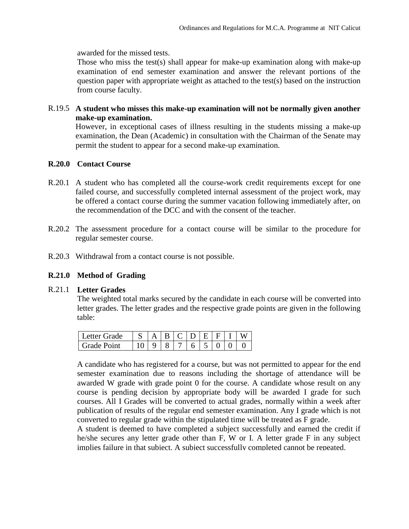awarded for the missed tests.

Those who miss the test(s) shall appear for make-up examination along with make-up examination of end semester examination and answer the relevant portions of the question paper with appropriate weight as attached to the test(s) based on the instruction from course faculty.

R.19.5 **A student who misses this make-up examination will not be normally given another make-up examination.** 

However, in exceptional cases of illness resulting in the students missing a make-up examination, the Dean (Academic) in consultation with the Chairman of the Senate may permit the student to appear for a second make-up examination.

#### **R.20.0 Contact Course**

- R.20.1 A student who has completed all the course-work credit requirements except for one failed course, and successfully completed internal assessment of the project work, may be offered a contact course during the summer vacation following immediately after, on the recommendation of the DCC and with the consent of the teacher.
- R.20.2 The assessment procedure for a contact course will be similar to the procedure for regular semester course.
- R.20.3 Withdrawal from a contact course is not possible.

#### **R.21.0 Method of Grading**

#### R.21.1 **Letter Grades**

The weighted total marks secured by the candidate in each course will be converted into letter grades. The letter grades and the respective grade points are given in the following table:

| l Letter Grade     |  |  | RCDEFII |  |  |
|--------------------|--|--|---------|--|--|
| <b>Grade Point</b> |  |  |         |  |  |

A candidate who has registered for a course, but was not permitted to appear for the end semester examination due to reasons including the shortage of attendance will be awarded W grade with grade point 0 for the course. A candidate whose result on any course is pending decision by appropriate body will be awarded I grade for such courses. All I Grades will be converted to actual grades, normally within a week after publication of results of the regular end semester examination. Any I grade which is not converted to regular grade within the stipulated time will be treated as F grade.

A student is deemed to have completed a subject successfully and earned the credit if he/she secures any letter grade other than F, W or I. A letter grade F in any subject implies failure in that subject. A subject successfully completed cannot be repeated.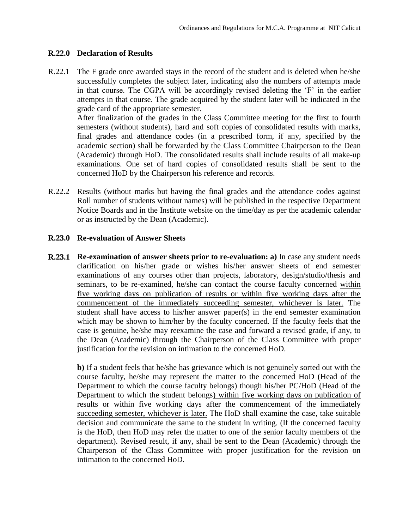#### **R.22.0 Declaration of Results**

R.22.1 The F grade once awarded stays in the record of the student and is deleted when he/she successfully completes the subject later, indicating also the numbers of attempts made in that course. The CGPA will be accordingly revised deleting the 'F' in the earlier attempts in that course. The grade acquired by the student later will be indicated in the grade card of the appropriate semester.

After finalization of the grades in the Class Committee meeting for the first to fourth semesters (without students), hard and soft copies of consolidated results with marks, final grades and attendance codes (in a prescribed form, if any, specified by the academic section) shall be forwarded by the Class Committee Chairperson to the Dean (Academic) through HoD. The consolidated results shall include results of all make-up examinations. One set of hard copies of consolidated results shall be sent to the concerned HoD by the Chairperson his reference and records.

R.22.2 Results (without marks but having the final grades and the attendance codes against Roll number of students without names) will be published in the respective Department Notice Boards and in the Institute website on the time/day as per the academic calendar or as instructed by the Dean (Academic).

#### **R.23.0 Re-evaluation of Answer Sheets**

**R.23.1 Re-examination of answer sheets prior to re-evaluation: a)** In case any student needs clarification on his/her grade or wishes his/her answer sheets of end semester examinations of any courses other than projects, laboratory, design/studio/thesis and seminars, to be re-examined, he/she can contact the course faculty concerned within five working days on publication of results or within five working days after the commencement of the immediately succeeding semester, whichever is later. The student shall have access to his/her answer paper(s) in the end semester examination which may be shown to him/her by the faculty concerned. If the faculty feels that the case is genuine, he/she may reexamine the case and forward a revised grade, if any, to the Dean (Academic) through the Chairperson of the Class Committee with proper justification for the revision on intimation to the concerned HoD.

**b)** If a student feels that he/she has grievance which is not genuinely sorted out with the course faculty, he/she may represent the matter to the concerned HoD (Head of the Department to which the course faculty belongs) though his/her PC/HoD (Head of the Department to which the student belongs) within five working days on publication of results or within five working days after the commencement of the immediately succeeding semester, whichever is later. The HoD shall examine the case, take suitable decision and communicate the same to the student in writing. (If the concerned faculty is the HoD, then HoD may refer the matter to one of the senior faculty members of the department). Revised result, if any, shall be sent to the Dean (Academic) through the Chairperson of the Class Committee with proper justification for the revision on intimation to the concerned HoD.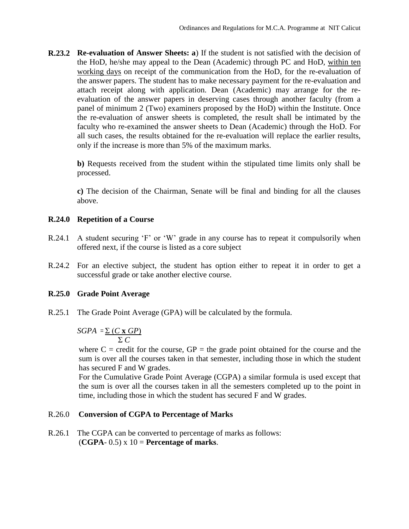**R.23.2 Re-evaluation of Answer Sheets: a**) If the student is not satisfied with the decision of the HoD, he/she may appeal to the Dean (Academic) through PC and HoD, within ten working days on receipt of the communication from the HoD, for the re-evaluation of the answer papers. The student has to make necessary payment for the re-evaluation and attach receipt along with application. Dean (Academic) may arrange for the reevaluation of the answer papers in deserving cases through another faculty (from a panel of minimum 2 (Two) examiners proposed by the HoD) within the Institute. Once the re-evaluation of answer sheets is completed, the result shall be intimated by the faculty who re-examined the answer sheets to Dean (Academic) through the HoD. For all such cases, the results obtained for the re-evaluation will replace the earlier results, only if the increase is more than 5% of the maximum marks.

**b)** Requests received from the student within the stipulated time limits only shall be processed.

**c)** The decision of the Chairman, Senate will be final and binding for all the clauses above.

### **R.24.0 Repetition of a Course**

- R.24.1 A student securing 'F' or 'W' grade in any course has to repeat it compulsorily when offered next, if the course is listed as a core subject
- R.24.2 For an elective subject, the student has option either to repeat it in order to get a successful grade or take another elective course.

### **R.25.0 Grade Point Average**

R.25.1 The Grade Point Average (GPA) will be calculated by the formula.

$$
SGPA = \frac{\sum (C \times GP)}{\sum C}
$$

where  $C =$  credit for the course,  $GP =$  the grade point obtained for the course and the sum is over all the courses taken in that semester, including those in which the student has secured F and W grades.

For the Cumulative Grade Point Average (CGPA) a similar formula is used except that the sum is over all the courses taken in all the semesters completed up to the point in time, including those in which the student has secured F and W grades.

### R.26.0 **Conversion of CGPA to Percentage of Marks**

R.26.1 The CGPA can be converted to percentage of marks as follows:  $(CGPA-0.5) \times 10 =$ **Percentage of marks.**